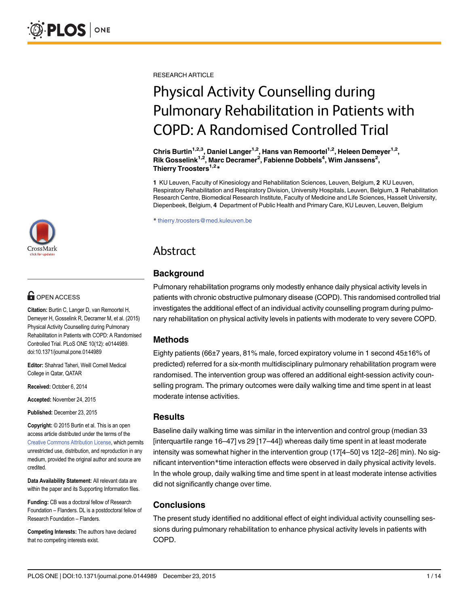

# **OPEN ACCESS**

Citation: Burtin C, Langer D, van Remoortel H, Demeyer H, Gosselink R, Decramer M, et al. (2015) Physical Activity Counselling during Pulmonary Rehabilitation in Patients with COPD: A Randomised Controlled Trial. PLoS ONE 10(12): e0144989. doi:10.1371/journal.pone.0144989

Editor: Shahrad Taheri, Weill Cornell Medical College in Qatar, QATAR

Received: October 6, 2014

Accepted: November 24, 2015

Published: December 23, 2015

Copyright: © 2015 Burtin et al. This is an open access article distributed under the terms of the [Creative Commons Attribution License,](http://creativecommons.org/licenses/by/4.0/) which permits unrestricted use, distribution, and reproduction in any medium, provided the original author and source are credited.

Data Availability Statement: All relevant data are within the paper and its Supporting Information files.

Funding: CB was a doctoral fellow of Research Foundation – Flanders. DL is a postdoctoral fellow of Research Foundation – Flanders.

Competing Interests: The authors have declared that no competing interests exist.

RESEARCH ARTICLE

# Physical Activity Counselling during Pulmonary Rehabilitation in Patients with COPD: A Randomised Controlled Trial

Chris Burtin<sup>1,2,3</sup>, Daniel Langer<sup>1,2</sup>, Hans van Remoortel<sup>1,2</sup>, Heleen Demeyer<sup>1,2</sup>,  $R$ ik Gosselink $^{1,2}$ , Marc Decramer<sup>2</sup>, Fabienne Dobbels<sup>4</sup>, Wim Janssens<sup>2</sup>, Thierry Troosters<sup>1,2\*</sup>

1 KU Leuven, Faculty of Kinesiology and Rehabilitation Sciences, Leuven, Belgium, 2 KU Leuven, Respiratory Rehabilitation and Respiratory Division, University Hospitals, Leuven, Belgium, 3 Rehabilitation Research Centre, Biomedical Research Institute, Faculty of Medicine and Life Sciences, Hasselt University, Diepenbeek, Belgium, 4 Department of Public Health and Primary Care, KU Leuven, Leuven, Belgium

\* thierry.troosters@med.kuleuven.be

# Abstract

# Background

Pulmonary rehabilitation programs only modestly enhance daily physical activity levels in patients with chronic obstructive pulmonary disease (COPD). This randomised controlled trial investigates the additional effect of an individual activity counselling program during pulmonary rehabilitation on physical activity levels in patients with moderate to very severe COPD.

# Methods

Eighty patients (66±7 years, 81% male, forced expiratory volume in 1 second 45±16% of predicted) referred for a six‐month multidisciplinary pulmonary rehabilitation program were randomised. The intervention group was offered an additional eight-session activity counselling program. The primary outcomes were daily walking time and time spent in at least moderate intense activities.

#### **Results**

Baseline daily walking time was similar in the intervention and control group (median 33 [interquartile range 16–47] vs 29 [17–44]) whereas daily time spent in at least moderate intensity was somewhat higher in the intervention group (17[4–50] vs 12[2–26] min). No significant intervention\*time interaction effects were observed in daily physical activity levels. In the whole group, daily walking time and time spent in at least moderate intense activities did not significantly change over time.

# **Conclusions**

The present study identified no additional effect of eight individual activity counselling sessions during pulmonary rehabilitation to enhance physical activity levels in patients with COPD.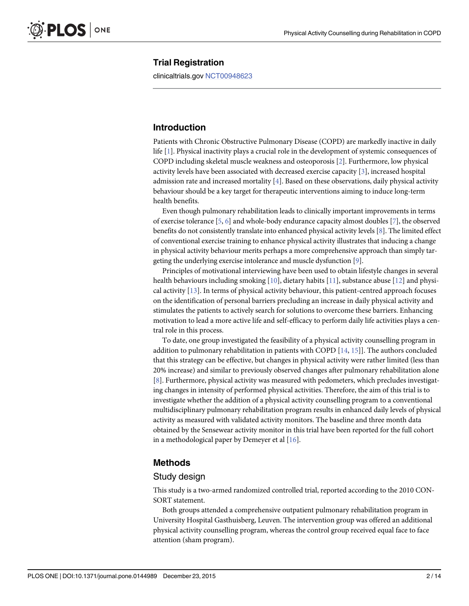#### <span id="page-1-0"></span>Trial Registration

clinicaltrials.gov [NCT00948623](https://clinicaltrials.gov/ct2/show/NCT00948623?term=NCT00948623&rank=1)

#### Introduction

Patients with Chronic Obstructive Pulmonary Disease (COPD) are markedly inactive in daily life [[1\]](#page-11-0). Physical inactivity plays a crucial role in the development of systemic consequences of COPD including skeletal muscle weakness and osteoporosis [\[2](#page-11-0)]. Furthermore, low physical activity levels have been associated with decreased exercise capacity [[3](#page-11-0)], increased hospital admission rate and increased mortality [[4](#page-11-0)]. Based on these observations, daily physical activity behaviour should be a key target for therapeutic interventions aiming to induce long-term health benefits.

Even though pulmonary rehabilitation leads to clinically important improvements in terms of exercise tolerance  $[5, 6]$  $[5, 6]$  $[5, 6]$  $[5, 6]$  and whole-body endurance capacity almost doubles  $[7]$  $[7]$  $[7]$ , the observed benefits do not consistently translate into enhanced physical activity levels [[8\]](#page-11-0). The limited effect of conventional exercise training to enhance physical activity illustrates that inducing a change in physical activity behaviour merits perhaps a more comprehensive approach than simply targeting the underlying exercise intolerance and muscle dysfunction [\[9](#page-11-0)].

Principles of motivational interviewing have been used to obtain lifestyle changes in several health behaviours including smoking  $[10]$  $[10]$  $[10]$ , dietary habits  $[11]$  $[11]$ , substance abuse  $[12]$  $[12]$  $[12]$  and physical activity [[13](#page-11-0)]. In terms of physical activity behaviour, this patient-centred approach focuses on the identification of personal barriers precluding an increase in daily physical activity and stimulates the patients to actively search for solutions to overcome these barriers. Enhancing motivation to lead a more active life and self-efficacy to perform daily life activities plays a central role in this process.

To date, one group investigated the feasibility of a physical activity counselling program in addition to pulmonary rehabilitation in patients with COPD [\[14](#page-11-0), [15](#page-11-0)]]. The authors concluded that this strategy can be effective, but changes in physical activity were rather limited (less than 20% increase) and similar to previously observed changes after pulmonary rehabilitation alone [\[8](#page-11-0)]. Furthermore, physical activity was measured with pedometers, which precludes investigating changes in intensity of performed physical activities. Therefore, the aim of this trial is to investigate whether the addition of a physical activity counselling program to a conventional multidisciplinary pulmonary rehabilitation program results in enhanced daily levels of physical activity as measured with validated activity monitors. The baseline and three month data obtained by the Sensewear activity monitor in this trial have been reported for the full cohort in a methodological paper by Demeyer et al [[16](#page-11-0)].

#### Methods

#### Study design

This study is a two-armed randomized controlled trial, reported according to the 2010 CON-SORT statement.

Both groups attended a comprehensive outpatient pulmonary rehabilitation program in University Hospital Gasthuisberg, Leuven. The intervention group was offered an additional physical activity counselling program, whereas the control group received equal face to face attention (sham program).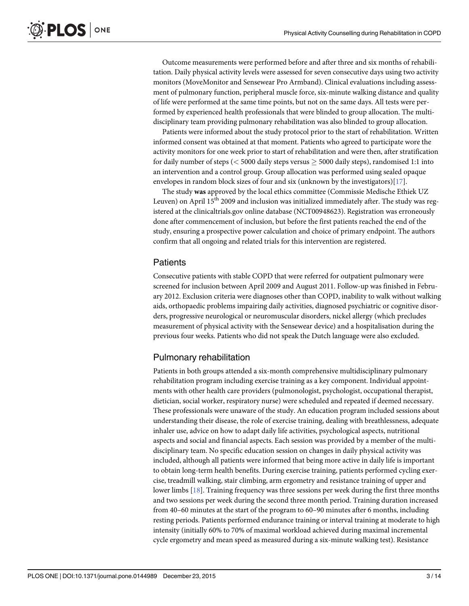<span id="page-2-0"></span>Outcome measurements were performed before and after three and six months of rehabilitation. Daily physical activity levels were assessed for seven consecutive days using two activity monitors (MoveMonitor and Sensewear Pro Armband). Clinical evaluations including assessment of pulmonary function, peripheral muscle force, six-minute walking distance and quality of life were performed at the same time points, but not on the same days. All tests were performed by experienced health professionals that were blinded to group allocation. The multidisciplinary team providing pulmonary rehabilitation was also blinded to group allocation.

Patients were informed about the study protocol prior to the start of rehabilitation. Written informed consent was obtained at that moment. Patients who agreed to participate wore the activity monitors for one week prior to start of rehabilitation and were then, after stratification for daily number of steps ( $\lt$  5000 daily steps versus  $>$  5000 daily steps), randomised 1:1 into an intervention and a control group. Group allocation was performed using sealed opaque envelopes in random block sizes of four and six (unknown by the investigators)[[17](#page-12-0)].

The study was approved by the local ethics committee (Commissie Medische Ethiek UZ Leuven) on April  $15<sup>th</sup>$  2009 and inclusion was initialized immediately after. The study was registered at the clinicaltrials.gov online database (NCT00948623). Registration was erroneously done after commencement of inclusion, but before the first patients reached the end of the study, ensuring a prospective power calculation and choice of primary endpoint. The authors confirm that all ongoing and related trials for this intervention are registered.

#### **Patients**

Consecutive patients with stable COPD that were referred for outpatient pulmonary were screened for inclusion between April 2009 and August 2011. Follow-up was finished in February 2012. Exclusion criteria were diagnoses other than COPD, inability to walk without walking aids, orthopaedic problems impairing daily activities, diagnosed psychiatric or cognitive disorders, progressive neurological or neuromuscular disorders, nickel allergy (which precludes measurement of physical activity with the Sensewear device) and a hospitalisation during the previous four weeks. Patients who did not speak the Dutch language were also excluded.

# Pulmonary rehabilitation

Patients in both groups attended a six-month comprehensive multidisciplinary pulmonary rehabilitation program including exercise training as a key component. Individual appointments with other health care providers (pulmonologist, psychologist, occupational therapist, dietician, social worker, respiratory nurse) were scheduled and repeated if deemed necessary. These professionals were unaware of the study. An education program included sessions about understanding their disease, the role of exercise training, dealing with breathlessness, adequate inhaler use, advice on how to adapt daily life activities, psychological aspects, nutritional aspects and social and financial aspects. Each session was provided by a member of the multidisciplinary team. No specific education session on changes in daily physical activity was included, although all patients were informed that being more active in daily life is important to obtain long-term health benefits. During exercise training, patients performed cycling exercise, treadmill walking, stair climbing, arm ergometry and resistance training of upper and lower limbs [[18](#page-12-0)]. Training frequency was three sessions per week during the first three months and two sessions per week during the second three month period. Training duration increased from 40–60 minutes at the start of the program to 60–90 minutes after 6 months, including resting periods. Patients performed endurance training or interval training at moderate to high intensity (initially 60% to 70% of maximal workload achieved during maximal incremental cycle ergometry and mean speed as measured during a six-minute walking test). Resistance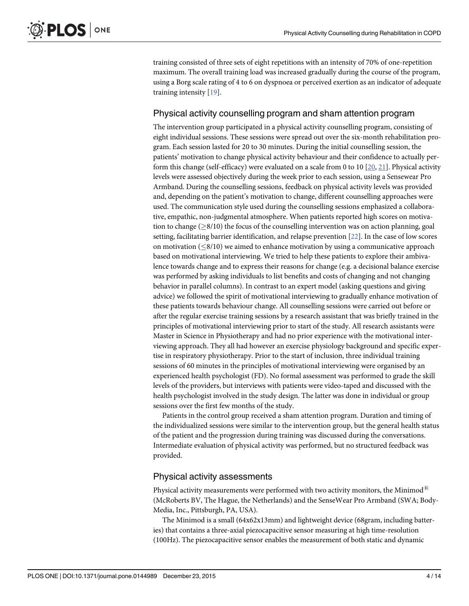<span id="page-3-0"></span>training consisted of three sets of eight repetitions with an intensity of 70% of one-repetition maximum. The overall training load was increased gradually during the course of the program, using a Borg scale rating of 4 to 6 on dyspnoea or perceived exertion as an indicator of adequate training intensity [\[19\]](#page-12-0).

# Physical activity counselling program and sham attention program

The intervention group participated in a physical activity counselling program, consisting of eight individual sessions. These sessions were spread out over the six-month rehabilitation program. Each session lasted for 20 to 30 minutes. During the initial counselling session, the patients' motivation to change physical activity behaviour and their confidence to actually perform this change (self-efficacy) were evaluated on a scale from 0 to 10 [\[20,](#page-12-0) [21\]](#page-12-0). Physical activity levels were assessed objectively during the week prior to each session, using a Sensewear Pro Armband. During the counselling sessions, feedback on physical activity levels was provided and, depending on the patient's motivation to change, different counselling approaches were used. The communication style used during the counselling sessions emphasized a collaborative, empathic, non-judgmental atmosphere. When patients reported high scores on motivation to change ( $\geq$ 8/10) the focus of the counselling intervention was on action planning, goal setting, facilitating barrier identification, and relapse prevention [\[22\]](#page-12-0). In the case of low scores on motivation  $(\leq 8/10)$  we aimed to enhance motivation by using a communicative approach based on motivational interviewing. We tried to help these patients to explore their ambivalence towards change and to express their reasons for change (e.g. a decisional balance exercise was performed by asking individuals to list benefits and costs of changing and not changing behavior in parallel columns). In contrast to an expert model (asking questions and giving advice) we followed the spirit of motivational interviewing to gradually enhance motivation of these patients towards behaviour change. All counselling sessions were carried out before or after the regular exercise training sessions by a research assistant that was briefly trained in the principles of motivational interviewing prior to start of the study. All research assistants were Master in Science in Physiotherapy and had no prior experience with the motivational interviewing approach. They all had however an exercise physiology background and specific expertise in respiratory physiotherapy. Prior to the start of inclusion, three individual training sessions of 60 minutes in the principles of motivational interviewing were organised by an experienced health psychologist (FD). No formal assessment was performed to grade the skill levels of the providers, but interviews with patients were video-taped and discussed with the health psychologist involved in the study design. The latter was done in individual or group sessions over the first few months of the study.

Patients in the control group received a sham attention program. Duration and timing of the individualized sessions were similar to the intervention group, but the general health status of the patient and the progression during training was discussed during the conversations. Intermediate evaluation of physical activity was performed, but no structured feedback was provided.

# Physical activity assessments

Physical activity measurements were performed with two activity monitors, the Minimod<sup> $48$ </sup> (McRoberts BV, The Hague, the Netherlands) and the SenseWear Pro Armband (SWA; Body-Media, Inc., Pittsburgh, PA, USA).

The Minimod is a small (64x62x13mm) and lightweight device (68gram, including batteries) that contains a three-axial piezocapacitive sensor measuring at high time-resolution (100Hz). The piezocapacitive sensor enables the measurement of both static and dynamic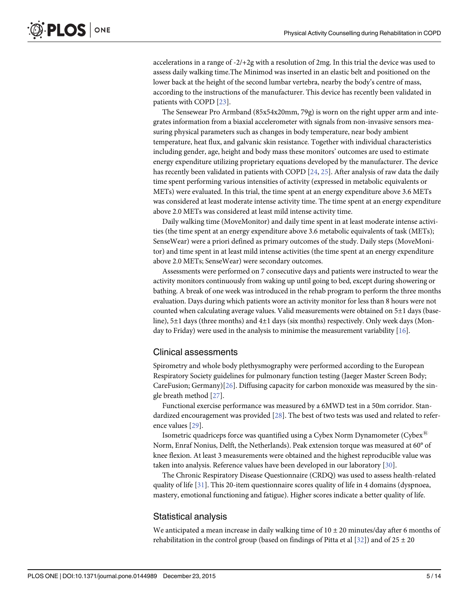<span id="page-4-0"></span>accelerations in a range of  $-2/+2g$  with a resolution of 2mg. In this trial the device was used to assess daily walking time.The Minimod was inserted in an elastic belt and positioned on the lower back at the height of the second lumbar vertebra, nearby the body's centre of mass, according to the instructions of the manufacturer. This device has recently been validated in patients with COPD [\[23\]](#page-12-0).

The Sensewear Pro Armband (85x54x20mm, 79g) is worn on the right upper arm and integrates information from a biaxial accelerometer with signals from non-invasive sensors measuring physical parameters such as changes in body temperature, near body ambient temperature, heat flux, and galvanic skin resistance. Together with individual characteristics including gender, age, height and body mass these monitors' outcomes are used to estimate energy expenditure utilizing proprietary equations developed by the manufacturer. The device has recently been validated in patients with COPD [\[24,](#page-12-0) [25\]](#page-12-0). After analysis of raw data the daily time spent performing various intensities of activity (expressed in metabolic equivalents or METs) were evaluated. In this trial, the time spent at an energy expenditure above 3.6 METs was considered at least moderate intense activity time. The time spent at an energy expenditure above 2.0 METs was considered at least mild intense activity time.

Daily walking time (MoveMonitor) and daily time spent in at least moderate intense activities (the time spent at an energy expenditure above 3.6 metabolic equivalents of task (METs); SenseWear) were a priori defined as primary outcomes of the study. Daily steps (MoveMonitor) and time spent in at least mild intense activities (the time spent at an energy expenditure above 2.0 METs; SenseWear) were secondary outcomes.

Assessments were performed on 7 consecutive days and patients were instructed to wear the activity monitors continuously from waking up until going to bed, except during showering or bathing. A break of one week was introduced in the rehab program to perform the three months evaluation. Days during which patients wore an activity monitor for less than 8 hours were not counted when calculating average values. Valid measurements were obtained on 5±1 days (baseline),  $5\pm1$  days (three months) and  $4\pm1$  days (six months) respectively. Only week days (Monday to Friday) were used in the analysis to minimise the measurement variability [[16](#page-11-0)].

#### Clinical assessments

Spirometry and whole body plethysmography were performed according to the European Respiratory Society guidelines for pulmonary function testing (Jaeger Master Screen Body; CareFusion; Germany)[ $26$ ]. Diffusing capacity for carbon monoxide was measured by the single breath method [[27](#page-12-0)].

Functional exercise performance was measured by a 6MWD test in a 50m corridor. Standardized encouragement was provided [[28](#page-12-0)]. The best of two tests was used and related to reference values [\[29\]](#page-12-0).

Isometric quadriceps force was quantified using a Cybex Norm Dynamometer (Cybex<sup> $\mathcal{R}$ )</sup> Norm, Enraf Nonius, Delft, the Netherlands). Peak extension torque was measured at 60° of knee flexion. At least 3 measurements were obtained and the highest reproducible value was taken into analysis. Reference values have been developed in our laboratory [\[30\]](#page-12-0).

The Chronic Respiratory Disease Questionnaire (CRDQ) was used to assess health-related quality of life [[31](#page-12-0)]. This 20-item questionnaire scores quality of life in 4 domains (dyspnoea, mastery, emotional functioning and fatigue). Higher scores indicate a better quality of life.

#### Statistical analysis

We anticipated a mean increase in daily walking time of  $10 \pm 20$  minutes/day after 6 months of rehabilitation in the control group (based on findings of Pitta et al  $[32]$  $[32]$  $[32]$ ) and of  $25 \pm 20$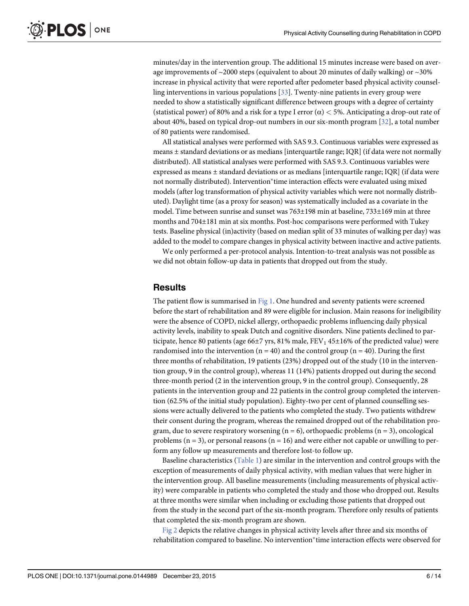<span id="page-5-0"></span>minutes/day in the intervention group. The additional 15 minutes increase were based on average improvements of  $\sim$ 2000 steps (equivalent to about 20 minutes of daily walking) or  $\sim$ 30% increase in physical activity that were reported after pedometer based physical activity counselling interventions in various populations [[33](#page-12-0)]. Twenty-nine patients in every group were needed to show a statistically significant difference between groups with a degree of certainty (statistical power) of 80% and a risk for a type I error ( $\alpha$ ) < 5%. Anticipating a drop-out rate of about 40%, based on typical drop-out numbers in our six-month program [[32\]](#page-12-0), a total number of 80 patients were randomised.

All statistical analyses were performed with SAS 9.3. Continuous variables were expressed as means ± standard deviations or as medians [interquartile range; IQR] (if data were not normally distributed). All statistical analyses were performed with SAS 9.3. Continuous variables were expressed as means ± standard deviations or as medians [interquartile range; IQR] (if data were not normally distributed). Intervention<sup>\*</sup>time interaction effects were evaluated using mixed models (after log transformation of physical activity variables which were not normally distributed). Daylight time (as a proxy for season) was systematically included as a covariate in the model. Time between sunrise and sunset was 763±198 min at baseline, 733±169 min at three months and 704±181 min at six months. Post-hoc comparisons were performed with Tukey tests. Baseline physical (in)activity (based on median split of 33 minutes of walking per day) was added to the model to compare changes in physical activity between inactive and active patients.

We only performed a per-protocol analysis. Intention-to-treat analysis was not possible as we did not obtain follow-up data in patients that dropped out from the study.

#### **Results**

The patient flow is summarised in [Fig 1](#page-6-0). One hundred and seventy patients were screened before the start of rehabilitation and 89 were eligible for inclusion. Main reasons for ineligibility were the absence of COPD, nickel allergy, orthopaedic problems influencing daily physical activity levels, inability to speak Dutch and cognitive disorders. Nine patients declined to participate, hence 80 patients (age  $66\pm7$  yrs, 81% male,  $FEV_1$  45 $\pm16$ % of the predicted value) were randomised into the intervention ( $n = 40$ ) and the control group ( $n = 40$ ). During the first three months of rehabilitation, 19 patients (23%) dropped out of the study (10 in the intervention group, 9 in the control group), whereas 11 (14%) patients dropped out during the second three-month period (2 in the intervention group, 9 in the control group). Consequently, 28 patients in the intervention group and 22 patients in the control group completed the intervention (62.5% of the initial study population). Eighty-two per cent of planned counselling sessions were actually delivered to the patients who completed the study. Two patients withdrew their consent during the program, whereas the remained dropped out of the rehabilitation program, due to severe respiratory worsening ( $n = 6$ ), orthopaedic problems ( $n = 3$ ), oncological problems ( $n = 3$ ), or personal reasons ( $n = 16$ ) and were either not capable or unwilling to perform any follow up measurements and therefore lost-to follow up.

Baseline characteristics [\(Table 1](#page-6-0)) are similar in the intervention and control groups with the exception of measurements of daily physical activity, with median values that were higher in the intervention group. All baseline measurements (including measurements of physical activity) were comparable in patients who completed the study and those who dropped out. Results at three months were similar when including or excluding those patients that dropped out from the study in the second part of the six-month program. Therefore only results of patients that completed the six-month program are shown.

[Fig 2](#page-7-0) depicts the relative changes in physical activity levels after three and six months of rehabilitation compared to baseline. No intervention\*time interaction effects were observed for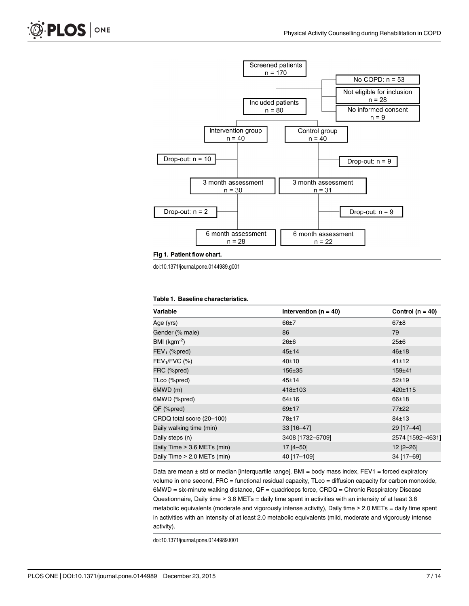

#### [Fig 1. P](#page-5-0)atient flow chart.

doi:10.1371/journal.pone.0144989.g001

#### [Table 1.](#page-5-0) Baseline characteristics.

| Variable                    | Intervention ( $n = 40$ ) | Control ( $n = 40$ ) |
|-----------------------------|---------------------------|----------------------|
| Age (yrs)                   | 66±7                      | 67±8                 |
| Gender (% male)             | 86                        | 79                   |
| BMI (kgm <sup>-2</sup> )    | 26±6                      | 25±6                 |
| $FEV1$ (%pred)              | 45±14                     | 46±18                |
| $FEV1/FVC$ (%)              | 40±10                     | 41±12                |
| FRC (%pred)                 | 156±35                    | $159 + 41$           |
| TLco (%pred)                | 45±14                     | $52 + 19$            |
| 6MWD (m)                    | 418±103                   | 420±115              |
| 6MWD (%pred)                | 64±16                     | 66±18                |
| QF (%pred)                  | $69 + 17$                 | 77±22                |
| CRDQ total score (20-100)   | 78±17                     | 84±13                |
| Daily walking time (min)    | $33$ [16-47]              | 29 [17-44]           |
| Daily steps (n)             | 3408 [1732-5709]          | 2574 [1592-4631]     |
| Daily Time > 3.6 METs (min) | $17$ [4-50]               | $12$ [2-26]          |
| Daily Time > 2.0 METs (min) | 40 [17-109]               | 34 [17-69]           |
|                             |                           |                      |

Data are mean  $\pm$  std or median [interquartile range]. BMI = body mass index, FEV1 = forced expiratory volume in one second, FRC = functional residual capacity, TLco = diffusion capacity for carbon monoxide, 6MWD = six-minute walking distance, QF = quadriceps force, CRDQ = Chronic Respiratory Disease Questionnaire, Daily time > 3.6 METs = daily time spent in activities with an intensity of at least 3.6 metabolic equivalents (moderate and vigorously intense activity), Daily time > 2.0 METs = daily time spent in activities with an intensity of at least 2.0 metabolic equivalents (mild, moderate and vigorously intense activity).

doi:10.1371/journal.pone.0144989.t001

<span id="page-6-0"></span>PLOS ONE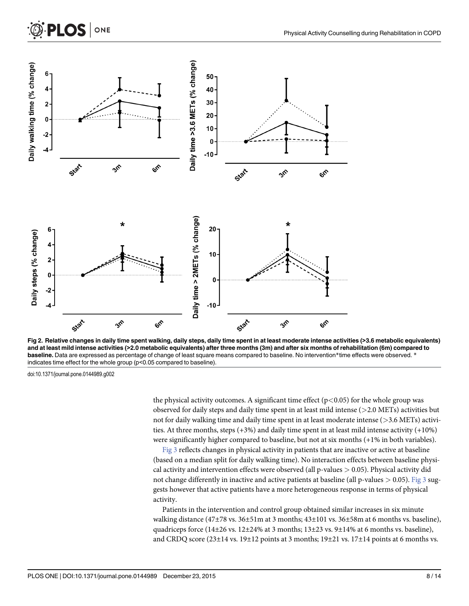<span id="page-7-0"></span>

[Fig 2. R](#page-5-0)elative changes in daily time spent walking, daily steps, daily time spent in at least moderate intense activities (>3.6 metabolic equivalents) and at least mild intense activities (>2.0 metabolic equivalents) after three months (3m) and after six months of rehabilitation (6m) compared to baseline. Data are expressed as percentage of change of least square means compared to baseline. No intervention\*time effects were observed. \* indicates time effect for the whole group (p<0.05 compared to baseline).

doi:10.1371/journal.pone.0144989.g002

the physical activity outcomes. A significant time effect ( $p<0.05$ ) for the whole group was observed for daily steps and daily time spent in at least mild intense (>2.0 METs) activities but not for daily walking time and daily time spent in at least moderate intense (>3.6 METs) activities. At three months, steps (+3%) and daily time spent in at least mild intense activity (+10%) were significantly higher compared to baseline, but not at six months (+1% in both variables).

[Fig 3](#page-8-0) reflects changes in physical activity in patients that are inactive or active at baseline (based on a median split for daily walking time). No interaction effects between baseline physical activity and intervention effects were observed (all p-values > 0.05). Physical activity did not change differently in inactive and active patients at baseline (all p-values  $> 0.05$ ). [Fig 3](#page-8-0) suggests however that active patients have a more heterogeneous response in terms of physical activity.

Patients in the intervention and control group obtained similar increases in six minute walking distance (47 $\pm$ 78 vs. 36 $\pm$ 51m at 3 months; 43 $\pm$ 101 vs. 36 $\pm$ 58m at 6 months vs. baseline), quadriceps force (14±26 vs. 12±24% at 3 months; 13±23 vs. 9±14% at 6 months vs. baseline), and CRDQ score (23±14 vs. 19±12 points at 3 months; 19±21 vs. 17±14 points at 6 months vs.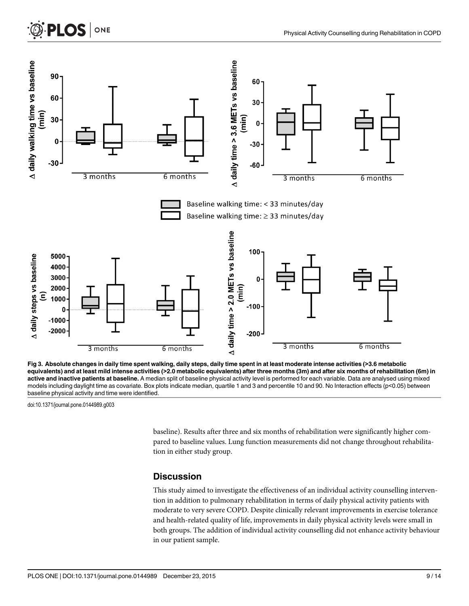<span id="page-8-0"></span>

[Fig 3. A](#page-7-0)bsolute changes in daily time spent walking, daily steps, daily time spent in at least moderate intense activities (>3.6 metabolic equivalents) and at least mild intense activities (>2.0 metabolic equivalents) after three months (3m) and after six months of rehabilitation (6m) in active and inactive patients at baseline. A median split of baseline physical activity level is performed for each variable. Data are analysed using mixed models including daylight time as covariate. Box plots indicate median, quartile 1 and 3 and percentile 10 and 90. No Interaction effects (p<0.05) between baseline physical activity and time were identified.

doi:10.1371/journal.pone.0144989.g003

baseline). Results after three and six months of rehabilitation were significantly higher compared to baseline values. Lung function measurements did not change throughout rehabilitation in either study group.

#### **Discussion**

This study aimed to investigate the effectiveness of an individual activity counselling intervention in addition to pulmonary rehabilitation in terms of daily physical activity patients with moderate to very severe COPD. Despite clinically relevant improvements in exercise tolerance and health-related quality of life, improvements in daily physical activity levels were small in both groups. The addition of individual activity counselling did not enhance activity behaviour in our patient sample.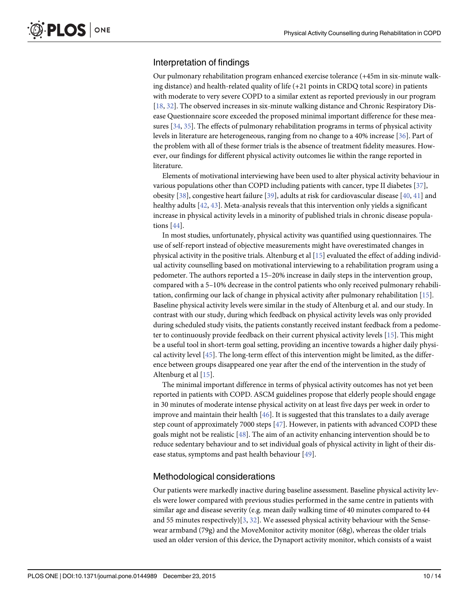# <span id="page-9-0"></span>Interpretation of findings

Our pulmonary rehabilitation program enhanced exercise tolerance (+45m in six-minute walking distance) and health-related quality of life  $(+21)$  points in CRDQ total score) in patients with moderate to very severe COPD to a similar extent as reported previously in our program [\[18](#page-12-0), [32\]](#page-12-0). The observed increases in six-minute walking distance and Chronic Respiratory Disease Questionnaire score exceeded the proposed minimal important difference for these measures [[34,](#page-12-0) [35\]](#page-12-0). The effects of pulmonary rehabilitation programs in terms of physical activity levels in literature are heterogeneous, ranging from no change to a 40% increase [[36](#page-12-0)]. Part of the problem with all of these former trials is the absence of treatment fidelity measures. However, our findings for different physical activity outcomes lie within the range reported in literature.

Elements of motivational interviewing have been used to alter physical activity behaviour in various populations other than COPD including patients with cancer, type II diabetes [\[37\]](#page-12-0), obesity [[38](#page-12-0)], congestive heart failure [[39](#page-13-0)], adults at risk for cardiovascular disease [[40](#page-13-0), [41](#page-13-0)] and healthy adults  $[42, 43]$  $[42, 43]$  $[42, 43]$ . Meta-analysis reveals that this intervention only yields a significant increase in physical activity levels in a minority of published trials in chronic disease populations [\[44\]](#page-13-0).

In most studies, unfortunately, physical activity was quantified using questionnaires. The use of self-report instead of objective measurements might have overestimated changes in physical activity in the positive trials. Altenburg et al [[15](#page-11-0)] evaluated the effect of adding individual activity counselling based on motivational interviewing to a rehabilitation program using a pedometer. The authors reported a 15–20% increase in daily steps in the intervention group, compared with a 5–10% decrease in the control patients who only received pulmonary rehabilitation, confirming our lack of change in physical activity after pulmonary rehabilitation [\[15\]](#page-11-0). Baseline physical activity levels were similar in the study of Altenburg et al. and our study. In contrast with our study, during which feedback on physical activity levels was only provided during scheduled study visits, the patients constantly received instant feedback from a pedometer to continuously provide feedback on their current physical activity levels [\[15\]](#page-11-0). This might be a useful tool in short-term goal setting, providing an incentive towards a higher daily physical activity level  $[45]$ . The long-term effect of this intervention might be limited, as the difference between groups disappeared one year after the end of the intervention in the study of Altenburg et al [[15](#page-11-0)].

The minimal important difference in terms of physical activity outcomes has not yet been reported in patients with COPD. ASCM guidelines propose that elderly people should engage in 30 minutes of moderate intense physical activity on at least five days per week in order to improve and maintain their health  $[46]$ . It is suggested that this translates to a daily average step count of approximately 7000 steps  $[47]$  $[47]$  $[47]$ . However, in patients with advanced COPD these goals might not be realistic [[48](#page-13-0)]. The aim of an activity enhancing intervention should be to reduce sedentary behaviour and to set individual goals of physical activity in light of their disease status, symptoms and past health behaviour [[49](#page-13-0)].

#### Methodological considerations

Our patients were markedly inactive during baseline assessment. Baseline physical activity levels were lower compared with previous studies performed in the same centre in patients with similar age and disease severity (e.g. mean daily walking time of 40 minutes compared to 44 and 55 minutes respectively) $[3, 32]$  $[3, 32]$  $[3, 32]$  $[3, 32]$ . We assessed physical activity behaviour with the Sensewear armband (79g) and the MoveMonitor activity monitor (68g), whereas the older trials used an older version of this device, the Dynaport activity monitor, which consists of a waist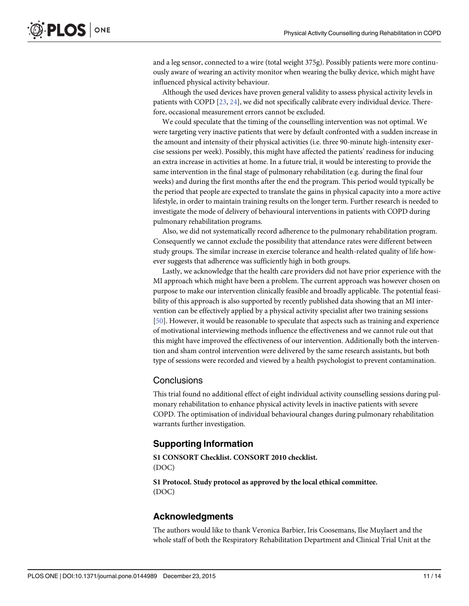<span id="page-10-0"></span>and a leg sensor, connected to a wire (total weight 375g). Possibly patients were more continuously aware of wearing an activity monitor when wearing the bulky device, which might have influenced physical activity behaviour.

Although the used devices have proven general validity to assess physical activity levels in patients with COPD [\[23,](#page-12-0) [24\]](#page-12-0), we did not specifically calibrate every individual device. Therefore, occasional measurement errors cannot be excluded.

We could speculate that the timing of the counselling intervention was not optimal. We were targeting very inactive patients that were by default confronted with a sudden increase in the amount and intensity of their physical activities (i.e. three 90-minute high-intensity exercise sessions per week). Possibly, this might have affected the patients' readiness for inducing an extra increase in activities at home. In a future trial, it would be interesting to provide the same intervention in the final stage of pulmonary rehabilitation (e.g. during the final four weeks) and during the first months after the end the program. This period would typically be the period that people are expected to translate the gains in physical capacity into a more active lifestyle, in order to maintain training results on the longer term. Further research is needed to investigate the mode of delivery of behavioural interventions in patients with COPD during pulmonary rehabilitation programs.

Also, we did not systematically record adherence to the pulmonary rehabilitation program. Consequently we cannot exclude the possibility that attendance rates were different between study groups. The similar increase in exercise tolerance and health-related quality of life however suggests that adherence was sufficiently high in both groups.

Lastly, we acknowledge that the health care providers did not have prior experience with the MI approach which might have been a problem. The current approach was however chosen on purpose to make our intervention clinically feasible and broadly applicable. The potential feasibility of this approach is also supported by recently published data showing that an MI intervention can be effectively applied by a physical activity specialist after two training sessions [\[50](#page-13-0)]. However, it would be reasonable to speculate that aspects such as training and experience of motivational interviewing methods influence the effectiveness and we cannot rule out that this might have improved the effectiveness of our intervention. Additionally both the intervention and sham control intervention were delivered by the same research assistants, but both type of sessions were recorded and viewed by a health psychologist to prevent contamination.

#### **Conclusions**

This trial found no additional effect of eight individual activity counselling sessions during pulmonary rehabilitation to enhance physical activity levels in inactive patients with severe COPD. The optimisation of individual behavioural changes during pulmonary rehabilitation warrants further investigation.

#### Supporting Information

[S1 CONSORT Checklist.](http://www.plosone.org/article/fetchSingleRepresentation.action?uri=info:doi/10.1371/journal.pone.0144989.s001) CONSORT 2010 checklist. (DOC)

[S1 Protocol.](http://www.plosone.org/article/fetchSingleRepresentation.action?uri=info:doi/10.1371/journal.pone.0144989.s002) Study protocol as approved by the local ethical committee. (DOC)

#### Acknowledgments

The authors would like to thank Veronica Barbier, Iris Coosemans, Ilse Muylaert and the whole staff of both the Respiratory Rehabilitation Department and Clinical Trial Unit at the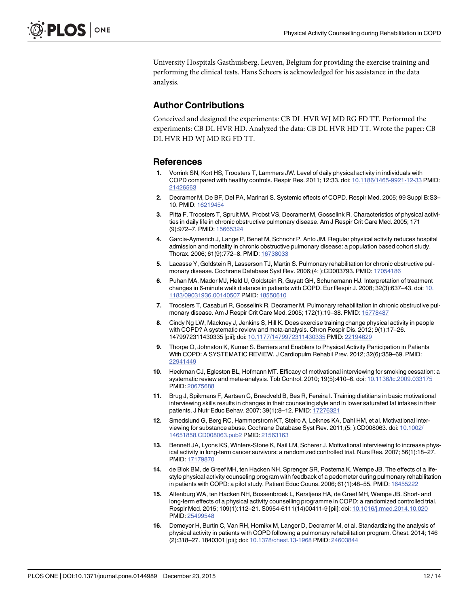<span id="page-11-0"></span>University Hospitals Gasthuisberg, Leuven, Belgium for providing the exercise training and performing the clinical tests. Hans Scheers is acknowledged for his assistance in the data analysis.

# Author Contributions

Conceived and designed the experiments: CB DL HVR WJ MD RG FD TT. Performed the experiments: CB DL HVR HD. Analyzed the data: CB DL HVR HD TT. Wrote the paper: CB DL HVR HD WJ MD RG FD TT.

# References

- [1.](#page-1-0) Vorrink SN, Kort HS, Troosters T, Lammers JW. Level of daily physical activity in individuals with COPD compared with healthy controls. Respir Res. 2011; 12:33. doi: [10.1186/1465-9921-12-33](http://dx.doi.org/10.1186/1465-9921-12-33) PMID: [21426563](http://www.ncbi.nlm.nih.gov/pubmed/21426563)
- [2.](#page-1-0) Decramer M, De BF, Del PA, Marinari S. Systemic effects of COPD. Respir Med. 2005; 99 Suppl B:S3– 10. PMID: [16219454](http://www.ncbi.nlm.nih.gov/pubmed/16219454)
- [3.](#page-1-0) Pitta F, Troosters T, Spruit MA, Probst VS, Decramer M, Gosselink R. Characteristics of physical activities in daily life in chronic obstructive pulmonary disease. Am J Respir Crit Care Med. 2005; 171 (9):972–7. PMID: [15665324](http://www.ncbi.nlm.nih.gov/pubmed/15665324)
- [4.](#page-1-0) Garcia-Aymerich J, Lange P, Benet M, Schnohr P, Anto JM. Regular physical activity reduces hospital admission and mortality in chronic obstructive pulmonary disease: a population based cohort study. Thorax. 2006; 61(9):772–8. PMID: [16738033](http://www.ncbi.nlm.nih.gov/pubmed/16738033)
- [5.](#page-1-0) Lacasse Y, Goldstein R, Lasserson TJ, Martin S. Pulmonary rehabilitation for chronic obstructive pulmonary disease. Cochrane Database Syst Rev. 2006;(4: ):CD003793. PMID: [17054186](http://www.ncbi.nlm.nih.gov/pubmed/17054186)
- [6.](#page-1-0) Puhan MA, Mador MJ, Held U, Goldstein R, Guyatt GH, Schunemann HJ. Interpretation of treatment changes in 6-minute walk distance in patients with COPD. Eur Respir J. 2008; 32(3):637–43. doi: [10.](http://dx.doi.org/10.1183/09031936.00140507) [1183/09031936.00140507](http://dx.doi.org/10.1183/09031936.00140507) PMID: [18550610](http://www.ncbi.nlm.nih.gov/pubmed/18550610)
- [7.](#page-1-0) Troosters T, Casaburi R, Gosselink R, Decramer M. Pulmonary rehabilitation in chronic obstructive pulmonary disease. Am J Respir Crit Care Med. 2005; 172(1):19–38. PMID: [15778487](http://www.ncbi.nlm.nih.gov/pubmed/15778487)
- [8.](#page-1-0) Cindy Ng LW, Mackney J, Jenkins S, Hill K. Does exercise training change physical activity in people with COPD? A systematic review and meta-analysis. Chron Respir Dis. 2012; 9(1):17–26. 1479972311430335 [pii]; doi: [10.1177/1479972311430335](http://dx.doi.org/10.1177/1479972311430335) PMID: [22194629](http://www.ncbi.nlm.nih.gov/pubmed/22194629)
- [9.](#page-1-0) Thorpe O, Johnston K, Kumar S. Barriers and Enablers to Physical Activity Participation in Patients With COPD: A SYSTEMATIC REVIEW. J Cardiopulm Rehabil Prev. 2012; 32(6):359–69. PMID: [22941449](http://www.ncbi.nlm.nih.gov/pubmed/22941449)
- [10.](#page-1-0) Heckman CJ, Egleston BL, Hofmann MT. Efficacy of motivational interviewing for smoking cessation: a systematic review and meta-analysis. Tob Control. 2010; 19(5):410–6. doi: [10.1136/tc.2009.033175](http://dx.doi.org/10.1136/tc.2009.033175) PMID: [20675688](http://www.ncbi.nlm.nih.gov/pubmed/20675688)
- [11.](#page-1-0) Brug J, Spikmans F, Aartsen C, Breedveld B, Bes R, Fereira I. Training dietitians in basic motivational interviewing skills results in changes in their counseling style and in lower saturated fat intakes in their patients. J Nutr Educ Behav. 2007; 39(1):8–12. PMID: [17276321](http://www.ncbi.nlm.nih.gov/pubmed/17276321)
- [12.](#page-1-0) Smedslund G, Berg RC, Hammerstrom KT, Steiro A, Leiknes KA, Dahl HM, et al. Motivational interviewing for substance abuse. Cochrane Database Syst Rev. 2011;(5: ):CD008063. doi: [10.1002/](http://dx.doi.org/10.1002/14651858.CD008063.pub2) [14651858.CD008063.pub2](http://dx.doi.org/10.1002/14651858.CD008063.pub2) PMID: [21563163](http://www.ncbi.nlm.nih.gov/pubmed/21563163)
- [13.](#page-1-0) Bennett JA, Lyons KS, Winters-Stone K, Nail LM, Scherer J. Motivational interviewing to increase physical activity in long-term cancer survivors: a randomized controlled trial. Nurs Res. 2007; 56(1):18–27. PMID: [17179870](http://www.ncbi.nlm.nih.gov/pubmed/17179870)
- [14.](#page-1-0) de Blok BM, de Greef MH, ten Hacken NH, Sprenger SR, Postema K, Wempe JB. The effects of a lifestyle physical activity counseling program with feedback of a pedometer during pulmonary rehabilitation in patients with COPD: a pilot study. Patient Educ Couns. 2006; 61(1):48–55. PMID: [16455222](http://www.ncbi.nlm.nih.gov/pubmed/16455222)
- [15.](#page-1-0) Altenburg WA, ten Hacken NH, Bossenbroek L, Kerstjens HA, de Greef MH, Wempe JB. Short- and long-term effects of a physical activity counselling programme in COPD: a randomized controlled trial. Respir Med. 2015; 109(1):112–21. S0954-6111(14)00411-9 [pii]; doi: [10.1016/j.rmed.2014.10.020](http://dx.doi.org/10.1016/j.rmed.2014.10.020) PMID: [25499548](http://www.ncbi.nlm.nih.gov/pubmed/25499548)
- [16.](#page-1-0) Demeyer H, Burtin C, Van RH, Hornikx M, Langer D, Decramer M, et al. Standardizing the analysis of physical activity in patients with COPD following a pulmonary rehabilitation program. Chest. 2014; 146 (2):318–27. 1840301 [pii]; doi: [10.1378/chest.13-1968](http://dx.doi.org/10.1378/chest.13-1968) PMID: [24603844](http://www.ncbi.nlm.nih.gov/pubmed/24603844)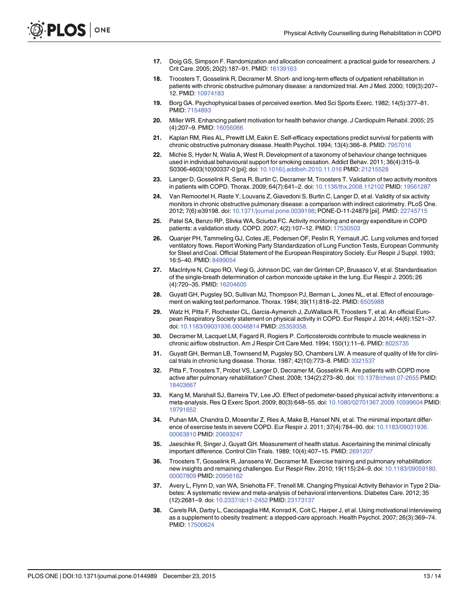- <span id="page-12-0"></span>[17.](#page-2-0) Doig GS, Simpson F. Randomization and allocation concealment: a practical guide for researchers. J Crit Care. 2005; 20(2):187–91. PMID: [16139163](http://www.ncbi.nlm.nih.gov/pubmed/16139163)
- [18.](#page-2-0) Troosters T, Gosselink R, Decramer M. Short- and long-term effects of outpatient rehabilitation in patients with chronic obstructive pulmonary disease: a randomized trial. Am J Med. 2000; 109(3):207– 12. PMID: [10974183](http://www.ncbi.nlm.nih.gov/pubmed/10974183)
- [19.](#page-3-0) Borg GA. Psychophysical bases of perceived exertion. Med Sci Sports Exerc. 1982; 14(5):377–81. PMID: [7154893](http://www.ncbi.nlm.nih.gov/pubmed/7154893)
- [20.](#page-3-0) Miller WR. Enhancing patient motivation for health behavior change. J Cardiopulm Rehabil. 2005; 25 (4):207–9. PMID: [16056066](http://www.ncbi.nlm.nih.gov/pubmed/16056066)
- [21.](#page-3-0) Kaplan RM, Ries AL, Prewitt LM, Eakin E. Self-efficacy expectations predict survival for patients with chronic obstructive pulmonary disease. Health Psychol. 1994; 13(4):366–8. PMID: [7957016](http://www.ncbi.nlm.nih.gov/pubmed/7957016)
- [22.](#page-3-0) Michie S, Hyder N, Walia A, West R. Development of a taxonomy of behaviour change techniques used in individual behavioural support for smoking cessation. Addict Behav. 2011; 36(4):315–9. S0306-4603(10)00337-0 [pii]; doi: [10.1016/j.addbeh.2010.11.016](http://dx.doi.org/10.1016/j.addbeh.2010.11.016) PMID: [21215528](http://www.ncbi.nlm.nih.gov/pubmed/21215528)
- [23.](#page-4-0) Langer D, Gosselink R, Sena R, Burtin C, Decramer M, Troosters T. Validation of two activity monitors in patients with COPD. Thorax. 2009; 64(7):641–2. doi: [10.1136/thx.2008.112102](http://dx.doi.org/10.1136/thx.2008.112102) PMID: [19561287](http://www.ncbi.nlm.nih.gov/pubmed/19561287)
- [24.](#page-4-0) Van Remoortel H, Raste Y, Louvaris Z, Giavedoni S, Burtin C, Langer D, et al. Validity of six activity monitors in chronic obstructive pulmonary disease: a comparison with indirect calorimetry. PLoS One. 2012; 7(6):e39198. doi: [10.1371/journal.pone.0039198;](http://dx.doi.org/10.1371/journal.pone.0039198) PONE-D-11-24879 [pii]. PMID: [22745715](http://www.ncbi.nlm.nih.gov/pubmed/22745715)
- [25.](#page-4-0) Patel SA, Benzo RP, Slivka WA, Sciurba FC. Activity monitoring and energy expenditure in COPD patients: a validation study. COPD. 2007; 4(2):107–12. PMID: [17530503](http://www.ncbi.nlm.nih.gov/pubmed/17530503)
- [26.](#page-4-0) Quanjer PH, Tammeling GJ, Cotes JE, Pedersen OF, Peslin R, Yernault JC. Lung volumes and forced ventilatory flows. Report Working Party Standardization of Lung Function Tests, European Community for Steel and Coal. Official Statement of the European Respiratory Society. Eur Respir J Suppl. 1993; 16:5–40. PMID: [8499054](http://www.ncbi.nlm.nih.gov/pubmed/8499054)
- [27.](#page-4-0) MacIntyre N, Crapo RO, Viegi G, Johnson DC, van der Grinten CP, Brusasco V, et al. Standardisation of the single-breath determination of carbon monoxide uptake in the lung. Eur Respir J. 2005; 26 (4):720–35. PMID: [16204605](http://www.ncbi.nlm.nih.gov/pubmed/16204605)
- [28.](#page-4-0) Guyatt GH, Pugsley SO, Sullivan MJ, Thompson PJ, Berman L, Jones NL, et al. Effect of encourage-ment on walking test performance. Thorax. 1984; 39(11):818-22. PMID: [6505988](http://www.ncbi.nlm.nih.gov/pubmed/6505988)
- [29.](#page-4-0) Watz H, Pitta F, Rochester CL, Garcia-Aymerich J, ZuWallack R, Troosters T, et al. An official European Respiratory Society statement on physical activity in COPD. Eur Respir J. 2014; 44(6):1521–37. doi: [10.1183/09031936.00046814](http://dx.doi.org/10.1183/09031936.00046814) PMID: [25359358](http://www.ncbi.nlm.nih.gov/pubmed/25359358).
- [30.](#page-4-0) Decramer M, Lacquet LM, Fagard R, Rogiers P. Corticosteroids contribute to muscle weakness in chronic airflow obstruction. Am J Respir Crit Care Med. 1994; 150(1):11–6. PMID: [8025735](http://www.ncbi.nlm.nih.gov/pubmed/8025735)
- [31.](#page-4-0) Guyatt GH, Berman LB, Townsend M, Pugsley SO, Chambers LW. A measure of quality of life for clinical trials in chronic lung disease. Thorax. 1987; 42(10):773–8. PMID: [3321537](http://www.ncbi.nlm.nih.gov/pubmed/3321537)
- [32.](#page-4-0) Pitta F, Troosters T, Probst VS, Langer D, Decramer M, Gosselink R. Are patients with COPD more active after pulmonary rehabilitation? Chest. 2008; 134(2):273–80. doi: [10.1378/chest.07-2655](http://dx.doi.org/10.1378/chest.07-2655) PMID: [18403667](http://www.ncbi.nlm.nih.gov/pubmed/18403667)
- [33.](#page-5-0) Kang M, Marshall SJ, Barreira TV, Lee JO. Effect of pedometer-based physical activity interventions: a meta-analysis. Res Q Exerc Sport. 2009; 80(3):648–55. doi: [10.1080/02701367.2009.10599604](http://dx.doi.org/10.1080/02701367.2009.10599604) PMID: [19791652](http://www.ncbi.nlm.nih.gov/pubmed/19791652)
- [34.](#page-9-0) Puhan MA, Chandra D, Mosenifar Z, Ries A, Make B, Hansel NN, et al. The minimal important differ-ence of exercise tests in severe COPD. Eur Respir J. 2011; 37(4):784–90. doi: [10.1183/09031936.](http://dx.doi.org/10.1183/09031936.00063810) [00063810](http://dx.doi.org/10.1183/09031936.00063810) PMID: [20693247](http://www.ncbi.nlm.nih.gov/pubmed/20693247)
- [35.](#page-9-0) Jaeschke R, Singer J, Guyatt GH. Measurement of health status. Ascertaining the minimal clinically important difference. Control Clin Trials. 1989; 10(4):407–15. PMID: [2691207](http://www.ncbi.nlm.nih.gov/pubmed/2691207)
- [36.](#page-9-0) Troosters T, Gosselink R, Janssens W, Decramer M. Exercise training and pulmonary rehabilitation: new insights and remaining challenges. Eur Respir Rev. 2010; 19(115):24–9. doi: [10.1183/09059180.](http://dx.doi.org/10.1183/09059180.00007809) [00007809](http://dx.doi.org/10.1183/09059180.00007809) PMID: [20956162](http://www.ncbi.nlm.nih.gov/pubmed/20956162)
- [37.](#page-9-0) Avery L, Flynn D, van WA, Sniehotta FF, Trenell MI. Changing Physical Activity Behavior in Type 2 Diabetes: A systematic review and meta-analysis of behavioral interventions. Diabetes Care. 2012; 35 (12):2681–9. doi: [10.2337/dc11-2452](http://dx.doi.org/10.2337/dc11-2452) PMID: [23173137](http://www.ncbi.nlm.nih.gov/pubmed/23173137)
- [38.](#page-9-0) Carels RA, Darby L, Cacciapaglia HM, Konrad K, Coit C, Harper J, et al. Using motivational interviewing as a supplement to obesity treatment: a stepped-care approach. Health Psychol. 2007; 26(3):369–74. PMID: [17500624](http://www.ncbi.nlm.nih.gov/pubmed/17500624)